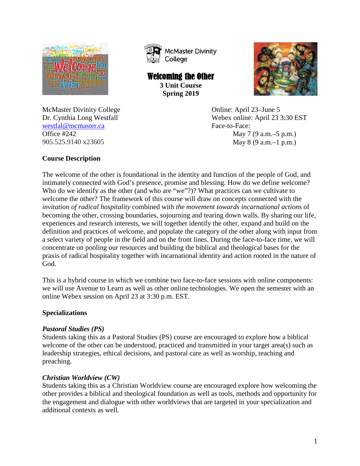

**McMaster Divinity** College

Welcoming the Other **3 Unit Course Spring 2019**



Dr. Cynthia Long Westfall Webex online: April 23 3:30 EST Office  $\#242$  May 7 (9 a.m. –5 p.m.) 905.525.9140 x23605 May 8 (9 a.m. -1 p.m.)

McMaster Divinity College Constanting College Constanting College Constanting Constanting Online: April 23–June 5 [westfal@mcmaster.ca](mailto:westfal@mcmaster.ca) Face-to-Face:

# **Course Description**

The welcome of the other is foundational in the identity and function of the people of God, and intimately connected with God's presence, promise and blessing. How do we define welcome? Who do we identify as the other (and who are "we"?)? What practices can we cultivate to welcome the other? The framework of this course will draw on concepts connected with the *invitation of radical hospitality* combined with *the movement towards incarnational actions* of becoming the other, crossing boundaries, sojourning and tearing down walls. By sharing our life, experiences and research interests, we will together identify the other, expand and build on the definition and practices of welcome, and populate the category of the other along with input from a select variety of people in the field and on the front lines. During the face-to-face time, we will concentrate on pooling our resources and building the biblical and theological bases for the praxis of radical hospitality together with incarnational identity and action rooted in the nature of God.

This is a hybrid course in which we combine two face-to-face sessions with online components: we will use Avenue to Learn as well as other online technologies. We open the semester with an online Webex session on April 23 at 3:30 p.m. EST.

# **Specializations**

### *Pastoral Studies (PS)*

Students taking this as a Pastoral Studies (PS) course are encouraged to explore how a biblical welcome of the other can be understood, practiced and transmitted in your target area(s) such as leadership strategies, ethical decisions, and pastoral care as well as worship, teaching and preaching.

# *Christian Worldview (CW)*

Students taking this as a Christian Worldview course are encouraged explore how welcoming the other provides a biblical and theological foundation as well as tools, methods and opportunity for the engagement and dialogue with other worldviews that are targeted in your specialization and additional contexts as well.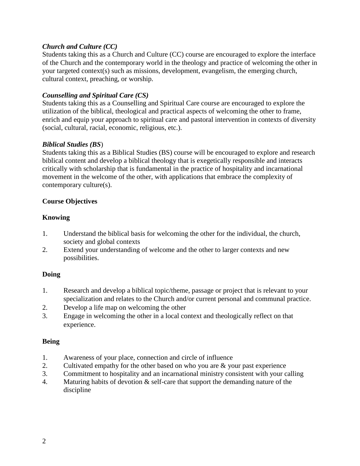### *Church and Culture (CC)*

Students taking this as a Church and Culture (CC) course are encouraged to explore the interface of the Church and the contemporary world in the theology and practice of welcoming the other in your targeted context(s) such as missions, development, evangelism, the emerging church, cultural context, preaching, or worship.

### *Counselling and Spiritual Care (CS)*

Students taking this as a Counselling and Spiritual Care course are encouraged to explore the utilization of the biblical, theological and practical aspects of welcoming the other to frame, enrich and equip your approach to spiritual care and pastoral intervention in contexts of diversity (social, cultural, racial, economic, religious, etc.).

### *Biblical Studies (BS*)

Students taking this as a Biblical Studies (BS) course will be encouraged to explore and research biblical content and develop a biblical theology that is exegetically responsible and interacts critically with scholarship that is fundamental in the practice of hospitality and incarnational movement in the welcome of the other, with applications that embrace the complexity of contemporary culture(s).

### **Course Objectives**

### **Knowing**

- 1. Understand the biblical basis for welcoming the other for the individual, the church, society and global contexts
- 2. Extend your understanding of welcome and the other to larger contexts and new possibilities.

### **Doing**

- 1. Research and develop a biblical topic/theme, passage or project that is relevant to your specialization and relates to the Church and/or current personal and communal practice.
- 2. Develop a life map on welcoming the other
- 3. Engage in welcoming the other in a local context and theologically reflect on that experience.

### **Being**

- 1. Awareness of your place, connection and circle of influence
- 2. Cultivated empathy for the other based on who you are & your past experience
- 3. Commitment to hospitality and an incarnational ministry consistent with your calling
- 4. Maturing habits of devotion & self-care that support the demanding nature of the discipline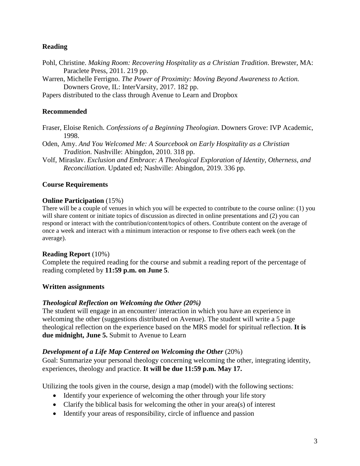### **Reading**

- Pohl, Christine. *Making Room: Recovering Hospitality as a Christian Tradition*. Brewster, MA: Paraclete Press, 2011. 219 pp.
- Warren, Michelle Ferrigno. *The Power of Proximity: Moving Beyond Awareness to Action.* Downers Grove, IL: InterVarsity, 2017. 182 pp.

Papers distributed to the class through Avenue to Learn and Dropbox

## **Recommended**

Fraser, Eloise Renich. *Confessions of a Beginning Theologian*. Downers Grove: IVP Academic, 1998.

- Oden, Amy. *And You Welcomed Me: A Sourcebook on Early Hospitality as a Christian Tradition*. Nashville: Abingdon, 2010. 318 pp.
- Volf, Miraslav. *Exclusion and Embrace: A Theological Exploration of Identity, Otherness, and Reconciliation.* Updated ed; Nashville: Abingdon, 2019. 336 pp.

### **Course Requirements**

#### **Online Participation** (15%)

There will be a couple of venues in which you will be expected to contribute to the course online: (1) you will share content or initiate topics of discussion as directed in online presentations and (2) you can respond or interact with the contribution/content/topics of others. Contribute content on the average of once a week and interact with a minimum interaction or response to five others each week (on the average).

### **Reading Report** (10%)

Complete the required reading for the course and submit a reading report of the percentage of reading completed by **11:59 p.m. on June 5**.

### **Written assignments**

### *Theological Reflection on Welcoming the Other (20%)*

The student will engage in an encounter/ interaction in which you have an experience in welcoming the other (suggestions distributed on Avenue). The student will write a 5 page theological reflection on the experience based on the MRS model for spiritual reflection. **It is due midnight, June 5.** Submit to Avenue to Learn

### *Development of a Life Map Centered on Welcoming the Other* (20%)

Goal: Summarize your personal theology concerning welcoming the other, integrating identity, experiences, theology and practice. **It will be due 11:59 p.m. May 17.**

Utilizing the tools given in the course, design a map (model) with the following sections:

- Identify your experience of welcoming the other through your life story
- Clarify the biblical basis for welcoming the other in your area(s) of interest
- Identify your areas of responsibility, circle of influence and passion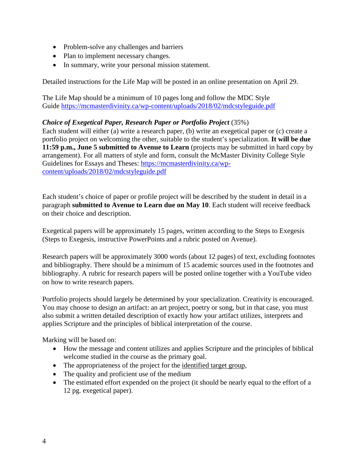- Problem-solve any challenges and barriers
- Plan to implement necessary changes.
- In summary, write your personal mission statement.

Detailed instructions for the Life Map will be posted in an online presentation on April 29.

The Life Map should be a minimum of 10 pages long and follow the MDC Style Guide<https://mcmasterdivinity.ca/wp-content/uploads/2018/02/mdcstyleguide.pdf>

### *Choice of Exegetical Paper, Research Paper or Portfolio Project* (35%)

Each student will either (a) write a research paper, (b) write an exegetical paper or (c) create a portfolio project on welcoming the other, suitable to the student's specialization. **It will be due 11:59 p.m., June 5 submitted to Avenue to Learn** (projects may be submitted in hard copy by arrangement). For all matters of style and form, consult the McMaster Divinity College Style Guidelines for Essays and Theses: [https://mcmasterdivinity.ca/wp](https://mcmasterdivinity.ca/wp-content/uploads/2018/02/mdcstyleguide.pdf)[content/uploads/2018/02/mdcstyleguide.pdf](https://mcmasterdivinity.ca/wp-content/uploads/2018/02/mdcstyleguide.pdf)

Each student's choice of paper or profile project will be described by the student in detail in a paragraph **submitted to Avenue to Learn due on May 10**. Each student will receive feedback on their choice and description.

Exegetical papers will be approximately 15 pages, written according to the Steps to Exegesis (Steps to Exegesis, instructive PowerPoints and a rubric posted on Avenue).

Research papers will be approximately 3000 words (about 12 pages) of text, excluding footnotes and bibliography. There should be a minimum of 15 academic sources used in the footnotes and bibliography. A rubric for research papers will be posted online together with a YouTube video on how to write research papers.

Portfolio projects should largely be determined by your specialization. Creativity is encouraged. You may choose to design an artifact: an art project, poetry or song, but in that case, you must also submit a written detailed description of exactly how your artifact utilizes, interprets and applies Scripture and the principles of biblical interpretation of the course.

Marking will be based on:

- How the message and content utilizes and applies Scripture and the principles of biblical welcome studied in the course as the primary goal.
- The appropriateness of the project for the identified target group,
- The quality and proficient use of the medium
- The estimated effort expended on the project (it should be nearly equal to the effort of a 12 pg. exegetical paper).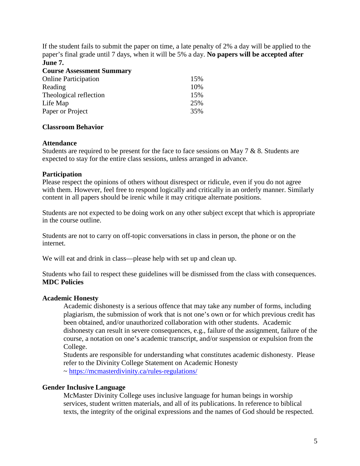If the student fails to submit the paper on time, a late penalty of 2% a day will be applied to the paper's final grade until 7 days, when it will be 5% a day. **No papers will be accepted after June 7.**

| <b>Course Assessment Summary</b> |     |
|----------------------------------|-----|
| <b>Online Participation</b>      | 15% |
| Reading                          | 10% |
| Theological reflection           | 15% |
| Life Map                         | 25% |
| Paper or Project                 | 35% |

#### **Classroom Behavior**

#### **Attendance**

Students are required to be present for the face to face sessions on May 7 & 8. Students are expected to stay for the entire class sessions, unless arranged in advance.

#### **Participation**

Please respect the opinions of others without disrespect or ridicule, even if you do not agree with them. However, feel free to respond logically and critically in an orderly manner. Similarly content in all papers should be irenic while it may critique alternate positions.

Students are not expected to be doing work on any other subject except that which is appropriate in the course outline.

Students are not to carry on off-topic conversations in class in person, the phone or on the internet.

We will eat and drink in class—please help with set up and clean up.

Students who fail to respect these guidelines will be dismissed from the class with consequences. **MDC Policies**

### **Academic Honesty**

Academic dishonesty is a serious offence that may take any number of forms, including plagiarism, the submission of work that is not one's own or for which previous credit has been obtained, and/or unauthorized collaboration with other students. Academic dishonesty can result in severe consequences, e.g., failure of the assignment, failure of the course, a notation on one's academic transcript, and/or suspension or expulsion from the College.

Students are responsible for understanding what constitutes academic dishonesty. Please refer to the Divinity College Statement on Academic Honesty ~<https://mcmasterdivinity.ca/rules-regulations/>

# **Gender Inclusive Language**

McMaster Divinity College uses inclusive language for human beings in worship services, student written materials, and all of its publications. In reference to biblical texts, the integrity of the original expressions and the names of God should be respected.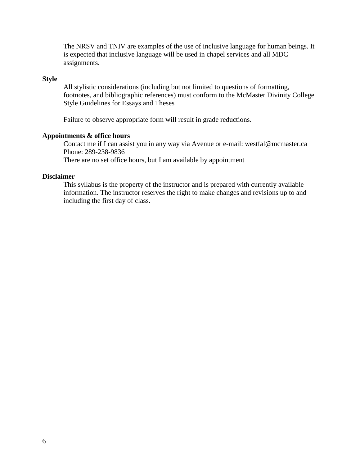The NRSV and TNIV are examples of the use of inclusive language for human beings. It is expected that inclusive language will be used in chapel services and all MDC assignments.

#### **Style**

All stylistic considerations (including but not limited to questions of formatting, footnotes, and bibliographic references) must conform to the McMaster Divinity College Style Guidelines for Essays and Theses

Failure to observe appropriate form will result in grade reductions.

#### **Appointments & office hours**

Contact me if I can assist you in any way via Avenue or e-mail: westfal@mcmaster.ca Phone: 289-238-9836

There are no set office hours, but I am available by appointment

#### **Disclaimer**

This syllabus is the property of the instructor and is prepared with currently available information. The instructor reserves the right to make changes and revisions up to and including the first day of class.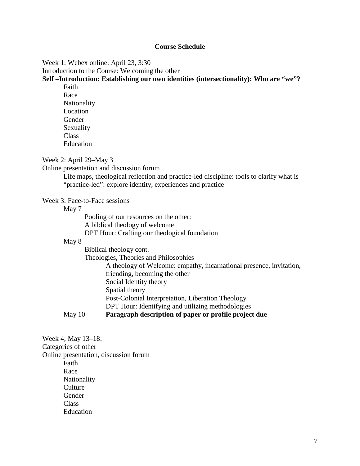#### **Course Schedule**

#### Week 1: Webex online: April 23, 3:30

Introduction to the Course: Welcoming the other

#### **Self –Introduction: Establishing our own identities (intersectionality): Who are "we"?**

Faith Race Nationality Location Gender Sexuality Class Education

Week 2: April 29–May 3

Online presentation and discussion forum

Life maps, theological reflection and practice-led discipline: tools to clarify what is "practice-led": explore identity, experiences and practice

#### Week 3: Face-to-Face sessions

May 7

Pooling of our resources on the other: A biblical theology of welcome DPT Hour: Crafting our theological foundation

#### May 8

Biblical theology cont.

Theologies, Theories and Philosophies

A theology of Welcome: empathy, incarnational presence, invitation,

friending, becoming the other

Social Identity theory

Spatial theory

Post-Colonial Interpretation, Liberation Theology

DPT Hour: Identifying and utilizing methodologies

### May 10 **Paragraph description of paper or profile project due**

Week 4; May 13–18: Categories of other Online presentation, discussion forum Faith Race Nationality **Culture** Gender Class Education